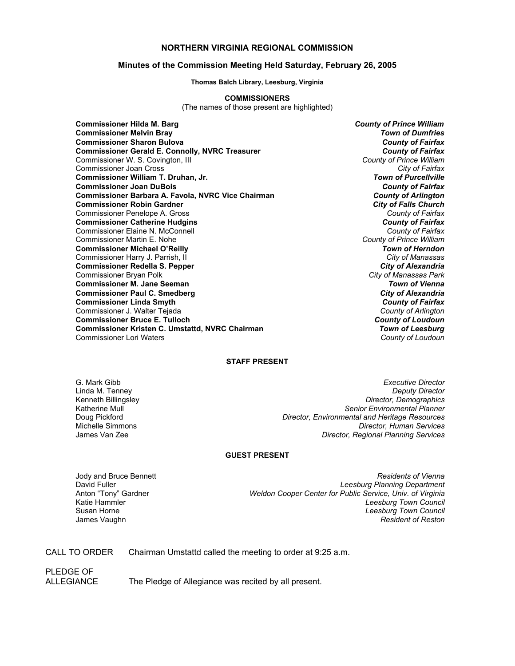### **NORTHERN VIRGINIA REGIONAL COMMISSION**

#### **Minutes of the Commission Meeting Held Saturday, February 26, 2005**

**Thomas Balch Library, Leesburg, Virginia** 

#### **COMMISSIONERS**

(The names of those present are highlighted)

**Commissioner Hilda M. Barg** *County of Prince William* **Commissioner Melvin Bray** *Town of Dumfries* **Commissioner Sharon Bulova** *County of Fairfax* **Commissioner Gerald E. Connolly, NVRC Treasurer** *County of Fairfax* Commissioner W. S. Covington, III *County of Prince William* Commissioner Joan Cross *City of Fairfax* **Commissioner William T. Druhan, Jr.** *Town of Purcellville* **Commissioner Joan DuBois** *County of Fairfax* **Commissioner Barbara A. Favola, NVRC Vice Chairman** *County of Arlington* **Commissioner Robin Gardner** *City of Falls Church* Commissioner Penelope A. Gross *County of Fairfax* **Commissioner Catherine Hudgins** *County of Fairfax* Commissioner Elaine N. McConnell *County of Fairfax* Commissioner Martin E. Nohe *County of Prince William* **Commissioner Michael O'Reilly** *Town of Herndon* Commissioner Harry J. Parrish, II *City of Manassas* **Commissioner Redella S. Pepper** *City of Alexandria* Commissioner Bryan Polk *City of Manassas Park* **Commissioner M. Jane Seeman** *Town of Vienna* **Commissioner Paul C. Smedberg** *City of Alexandria* **Commissioner Linda Smyth** *County of Fairfax* Commissioner J. Walter Tejada *County of Arlington* **Commissioner Bruce E. Tulloch** *County of Loudoun* **Commissioner Kristen C. Umstattd, NVRC Chairman** *Town of Leesburg* Commissioner Lori Waters *County of Loudoun*

#### **STAFF PRESENT**

G. Mark Gibb *Executive Director* Linda M. Tenney *Deputy Director* Kenneth Billingsley *Director, Demographics* Katherine Mull *Senior Environmental Planner* Doug Pickford *Director, Environmental and Heritage Resources* **Director, Human Services** James Van Zee *Director, Regional Planning Services*

#### **GUEST PRESENT**

Jody and Bruce Bennett *Residents of Vienna* David Fuller *Leesburg Planning Department* Weldon Cooper Center for Public Service, Univ. of Virginia Katie Hammler *Leesburg Town Council* Susan Horne *Leesburg Town Council* James Vaughn *Resident of Reston*

CALL TO ORDER Chairman Umstattd called the meeting to order at 9:25 a.m.

PLEDGE OF

ALLEGIANCE The Pledge of Allegiance was recited by all present.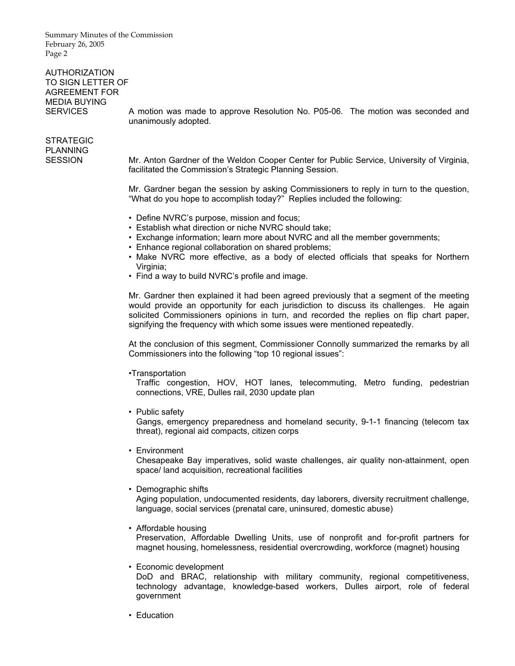Summary Minutes of the Commission February 26, 2005 Page 2

## AUTHORIZATION TO SIGN LETTER OF AGREEMENT FOR MEDIA BUYING

SERVICES A motion was made to approve Resolution No. P05-06. The motion was seconded and unanimously adopted.

# STRATEGIC PLANNING

SESSION Mr. Anton Gardner of the Weldon Cooper Center for Public Service, University of Virginia, facilitated the Commission's Strategic Planning Session.

> Mr. Gardner began the session by asking Commissioners to reply in turn to the question, "What do you hope to accomplish today?" Replies included the following:

- Define NVRC's purpose, mission and focus;
- Establish what direction or niche NVRC should take;
- Exchange information; learn more about NVRC and all the member governments;
- Enhance regional collaboration on shared problems;
- Make NVRC more effective, as a body of elected officials that speaks for Northern Virginia;
- Find a way to build NVRC's profile and image.

 Mr. Gardner then explained it had been agreed previously that a segment of the meeting would provide an opportunity for each jurisdiction to discuss its challenges. He again solicited Commissioners opinions in turn, and recorded the replies on flip chart paper, signifying the frequency with which some issues were mentioned repeatedly.

 At the conclusion of this segment, Commissioner Connolly summarized the remarks by all Commissioners into the following "top 10 regional issues":

•Transportation

 Traffic congestion, HOV, HOT lanes, telecommuting, Metro funding, pedestrian connections, VRE, Dulles rail, 2030 update plan

• Public safety

 Gangs, emergency preparedness and homeland security, 9-1-1 financing (telecom tax threat), regional aid compacts, citizen corps

• Environment

 Chesapeake Bay imperatives, solid waste challenges, air quality non-attainment, open space/ land acquisition, recreational facilities

• Demographic shifts

 Aging population, undocumented residents, day laborers, diversity recruitment challenge, language, social services (prenatal care, uninsured, domestic abuse)

• Affordable housing

 Preservation, Affordable Dwelling Units, use of nonprofit and for-profit partners for magnet housing, homelessness, residential overcrowding, workforce (magnet) housing

• Economic development

 DoD and BRAC, relationship with military community, regional competitiveness, technology advantage, knowledge-based workers, Dulles airport, role of federal government

• Education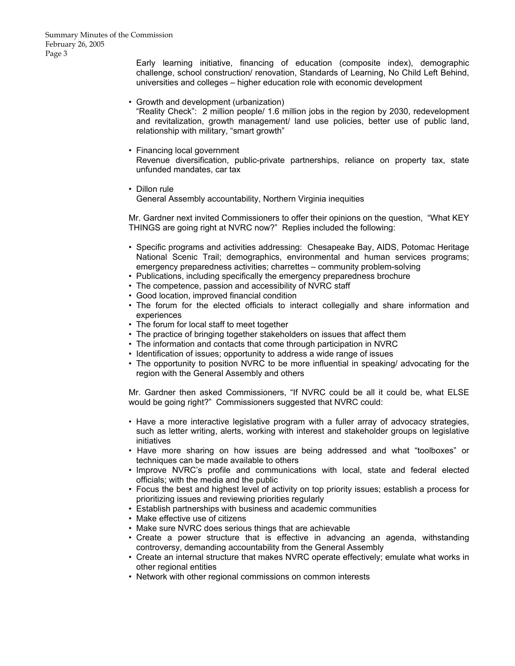Early learning initiative, financing of education (composite index), demographic challenge, school construction/ renovation, Standards of Learning, No Child Left Behind, universities and colleges – higher education role with economic development

- Growth and development (urbanization) "Reality Check": 2 million people/ 1.6 million jobs in the region by 2030, redevelopment and revitalization, growth management/ land use policies, better use of public land, relationship with military, "smart growth"
- Financing local government Revenue diversification, public-private partnerships, reliance on property tax, state unfunded mandates, car tax
- Dillon rule

General Assembly accountability, Northern Virginia inequities

 Mr. Gardner next invited Commissioners to offer their opinions on the question, "What KEY THINGS are going right at NVRC now?" Replies included the following:

- Specific programs and activities addressing: Chesapeake Bay, AIDS, Potomac Heritage National Scenic Trail; demographics, environmental and human services programs; emergency preparedness activities; charrettes – community problem-solving
- Publications, including specifically the emergency preparedness brochure
- The competence, passion and accessibility of NVRC staff
- Good location, improved financial condition
- The forum for the elected officials to interact collegially and share information and experiences
- The forum for local staff to meet together
- The practice of bringing together stakeholders on issues that affect them
- The information and contacts that come through participation in NVRC
- Identification of issues; opportunity to address a wide range of issues
- The opportunity to position NVRC to be more influential in speaking/ advocating for the region with the General Assembly and others

 Mr. Gardner then asked Commissioners, "If NVRC could be all it could be, what ELSE would be going right?" Commissioners suggested that NVRC could:

- Have a more interactive legislative program with a fuller array of advocacy strategies, such as letter writing, alerts, working with interest and stakeholder groups on legislative initiatives
- Have more sharing on how issues are being addressed and what "toolboxes" or techniques can be made available to others
- Improve NVRC's profile and communications with local, state and federal elected officials; with the media and the public
- Focus the best and highest level of activity on top priority issues; establish a process for prioritizing issues and reviewing priorities regularly
- Establish partnerships with business and academic communities
- Make effective use of citizens
- Make sure NVRC does serious things that are achievable
- Create a power structure that is effective in advancing an agenda, withstanding controversy, demanding accountability from the General Assembly
- Create an internal structure that makes NVRC operate effectively; emulate what works in other regional entities
- Network with other regional commissions on common interests